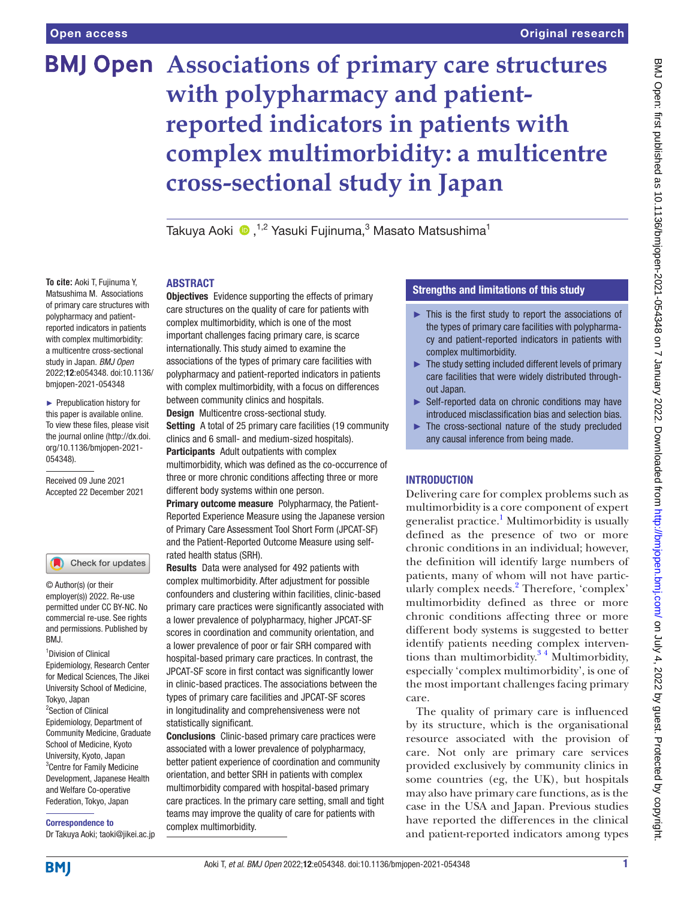**To cite:** Aoki T, Fujinuma Y, Matsushima M. Associations of primary care structures with polypharmacy and patientreported indicators in patients with complex multimorbidity: a multicentre cross-sectional study in Japan. *BMJ Open* 2022;12:e054348. doi:10.1136/ bmjopen-2021-054348 ► Prepublication history for this paper is available online. To view these files, please visit the journal online [\(http://dx.doi.](http://dx.doi.org/10.1136/bmjopen-2021-054348) [org/10.1136/bmjopen-2021-](http://dx.doi.org/10.1136/bmjopen-2021-054348)

[054348\)](http://dx.doi.org/10.1136/bmjopen-2021-054348).

Received 09 June 2021 Accepted 22 December 2021

1 Division of Clinical Epidemiology, Research Center for Medical Sciences, The Jikei University School of Medicine,

© Author(s) (or their employer(s)) 2022. Re-use permitted under CC BY-NC. No commercial re-use. See rights and permissions. Published by

Check for updates

Tokyo, Japan 2 Section of Clinical Epidemiology, Department of Community Medicine, Graduate School of Medicine, Kyoto University, Kyoto, Japan 3 Centre for Family Medicine Development, Japanese Health and Welfare Co-operative Federation, Tokyo, Japan Correspondence to Dr Takuya Aoki; taoki@jikei.ac.jp

RM<sub>J</sub>

# **Associations of primary care structures with polypharmacy and patientreported indicators in patients with complex multimorbidity: a multicentre cross-sectional study in Japan**

Takuya Aoki  $\bullet$  ,<sup>1,2</sup> Yasuki Fujinuma, $^3$  Masato Matsushima $^1$ 

### **ARSTRACT**

**Objectives** Evidence supporting the effects of primary care structures on the quality of care for patients with complex multimorbidity, which is one of the most important challenges facing primary care, is scarce internationally. This study aimed to examine the associations of the types of primary care facilities with polypharmacy and patient-reported indicators in patients with complex multimorbidity, with a focus on differences between community clinics and hospitals.

Design Multicentre cross-sectional study. Setting A total of 25 primary care facilities (19 community clinics and 6 small- and medium-sized hospitals).

Participants Adult outpatients with complex multimorbidity, which was defined as the co-occurrence of three or more chronic conditions affecting three or more different body systems within one person.

Primary outcome measure Polypharmacy, the Patient-Reported Experience Measure using the Japanese version of Primary Care Assessment Tool Short Form (JPCAT-SF) and the Patient-Reported Outcome Measure using selfrated health status (SRH).

Results Data were analysed for 492 patients with complex multimorbidity. After adjustment for possible confounders and clustering within facilities, clinic-based primary care practices were significantly associated with a lower prevalence of polypharmacy, higher JPCAT-SF scores in coordination and community orientation, and a lower prevalence of poor or fair SRH compared with hospital-based primary care practices. In contrast, the JPCAT-SF score in first contact was significantly lower in clinic-based practices. The associations between the types of primary care facilities and JPCAT-SF scores in longitudinality and comprehensiveness were not statistically significant.

Conclusions Clinic-based primary care practices were associated with a lower prevalence of polypharmacy, better patient experience of coordination and community orientation, and better SRH in patients with complex multimorbidity compared with hospital-based primary care practices. In the primary care setting, small and tight teams may improve the quality of care for patients with complex multimorbidity.

#### Strengths and limitations of this study

- ► This is the first study to report the associations of the types of primary care facilities with polypharmacy and patient-reported indicators in patients with complex multimorbidity.
- ► The study setting included different levels of primary care facilities that were widely distributed throughout Japan.
- ► Self-reported data on chronic conditions may have introduced misclassification bias and selection bias.
- ► The cross-sectional nature of the study precluded any causal inference from being made.

#### **INTRODUCTION**

Delivering care for complex problems such as multimorbidity is a core component of expert generalist practice.<sup>[1](#page-7-0)</sup> Multimorbidity is usually defined as the presence of two or more chronic conditions in an individual; however, the definition will identify large numbers of patients, many of whom will not have partic-ularly complex needs.<sup>[2](#page-7-1)</sup> Therefore, 'complex' multimorbidity defined as three or more chronic conditions affecting three or more different body systems is suggested to better identify patients needing complex interventions than multimorbidity, $3<sup>4</sup>$  Multimorbidity, especially 'complex multimorbidity', is one of the most important challenges facing primary care.

The quality of primary care is influenced by its structure, which is the organisational resource associated with the provision of care. Not only are primary care services provided exclusively by community clinics in some countries (eg, the UK), but hospitals may also have primary care functions, as is the case in the USA and Japan. Previous studies have reported the differences in the clinical and patient-reported indicators among types

## **BMI**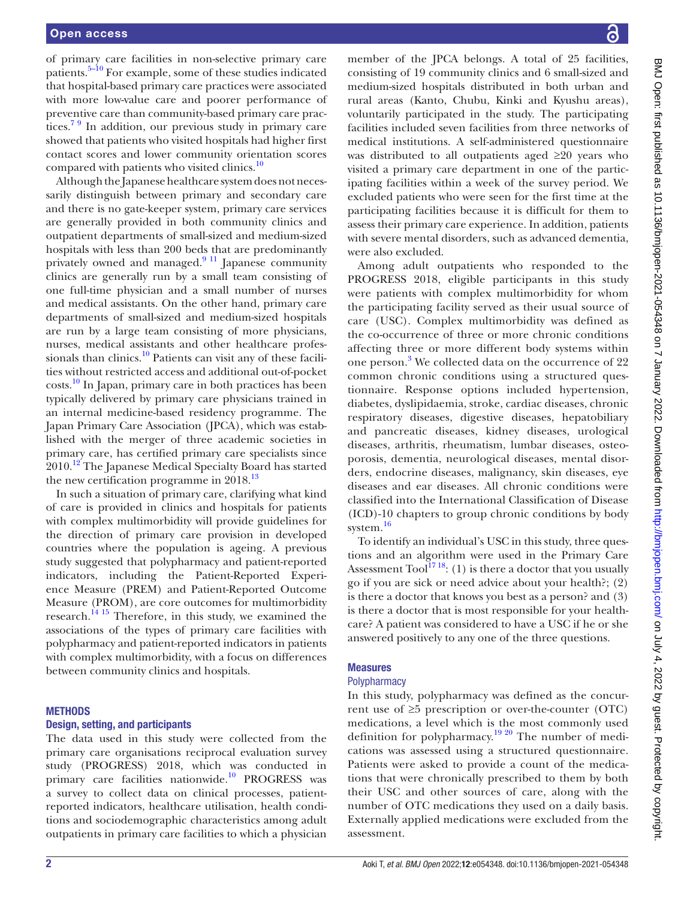of primary care facilities in non-selective primary care patients.<sup>5–10</sup> For example, some of these studies indicated that hospital-based primary care practices were associated with more low-value care and poorer performance of preventive care than community-based primary care practices.<sup>7 9</sup> In addition, our previous study in primary care showed that patients who visited hospitals had higher first contact scores and lower community orientation scores compared with patients who visited clinics.<sup>[10](#page-7-5)</sup>

Although the Japanese healthcare system does not necessarily distinguish between primary and secondary care and there is no gate-keeper system, primary care services are generally provided in both community clinics and outpatient departments of small-sized and medium-sized hospitals with less than 200 beds that are predominantly privately owned and managed.<sup>9 11</sup> Japanese community clinics are generally run by a small team consisting of one full-time physician and a small number of nurses and medical assistants. On the other hand, primary care departments of small-sized and medium-sized hospitals are run by a large team consisting of more physicians, nurses, medical assistants and other healthcare professionals than clinics.<sup>10</sup> Patients can visit any of these facilities without restricted access and additional out-of-pocket costs.[10](#page-7-5) In Japan, primary care in both practices has been typically delivered by primary care physicians trained in an internal medicine-based residency programme. The Japan Primary Care Association (JPCA), which was established with the merger of three academic societies in primary care, has certified primary care specialists since 2010.<sup>12</sup> The Japanese Medical Specialty Board has started the new certification programme in  $2018$ <sup>13</sup>

In such a situation of primary care, clarifying what kind of care is provided in clinics and hospitals for patients with complex multimorbidity will provide guidelines for the direction of primary care provision in developed countries where the population is ageing. A previous study suggested that polypharmacy and patient-reported indicators, including the Patient-Reported Experience Measure (PREM) and Patient-Reported Outcome Measure (PROM), are core outcomes for multimorbidity research[.14 15](#page-7-9) Therefore, in this study, we examined the associations of the types of primary care facilities with polypharmacy and patient-reported indicators in patients with complex multimorbidity, with a focus on differences between community clinics and hospitals.

#### **METHODS**

#### Design, setting, and participants

The data used in this study were collected from the primary care organisations reciprocal evaluation survey study (PROGRESS) 2018, which was conducted in primary care facilities nationwide[.10](#page-7-5) PROGRESS was a survey to collect data on clinical processes, patientreported indicators, healthcare utilisation, health conditions and sociodemographic characteristics among adult outpatients in primary care facilities to which a physician

member of the JPCA belongs. A total of 25 facilities, consisting of 19 community clinics and 6 small-sized and medium-sized hospitals distributed in both urban and rural areas (Kanto, Chubu, Kinki and Kyushu areas), voluntarily participated in the study. The participating facilities included seven facilities from three networks of medical institutions. A self-administered questionnaire was distributed to all outpatients aged ≥20 years who visited a primary care department in one of the participating facilities within a week of the survey period. We excluded patients who were seen for the first time at the participating facilities because it is difficult for them to assess their primary care experience. In addition, patients with severe mental disorders, such as advanced dementia, were also excluded.

Among adult outpatients who responded to the PROGRESS 2018, eligible participants in this study were patients with complex multimorbidity for whom the participating facility served as their usual source of care (USC). Complex multimorbidity was defined as the co-occurrence of three or more chronic conditions affecting three or more different body systems within one person. [3](#page-7-2) We collected data on the occurrence of 22 common chronic conditions using a structured questionnaire. Response options included hypertension, diabetes, dyslipidaemia, stroke, cardiac diseases, chronic respiratory diseases, digestive diseases, hepatobiliary and pancreatic diseases, kidney diseases, urological diseases, arthritis, rheumatism, lumbar diseases, osteoporosis, dementia, neurological diseases, mental disorders, endocrine diseases, malignancy, skin diseases, eye diseases and ear diseases. All chronic conditions were classified into the International Classification of Disease (ICD)-10 chapters to group chronic conditions by body system.<sup>[16](#page-7-10)</sup>

To identify an individual's USC in this study, three questions and an algorithm were used in the Primary Care Assessment Tool<sup>[17 18](#page-7-11)</sup>: (1) is there a doctor that you usually go if you are sick or need advice about your health?; (2) is there a doctor that knows you best as a person? and (3) is there a doctor that is most responsible for your healthcare? A patient was considered to have a USC if he or she answered positively to any one of the three questions.

#### Measures

#### **Polypharmacy**

In this study, polypharmacy was defined as the concurrent use of  $\geq 5$  prescription or over-the-counter (OTC) medications, a level which is the most commonly used definition for polypharmacy.[19 20](#page-7-12) The number of medications was assessed using a structured questionnaire. Patients were asked to provide a count of the medications that were chronically prescribed to them by both their USC and other sources of care, along with the number of OTC medications they used on a daily basis. Externally applied medications were excluded from the assessment.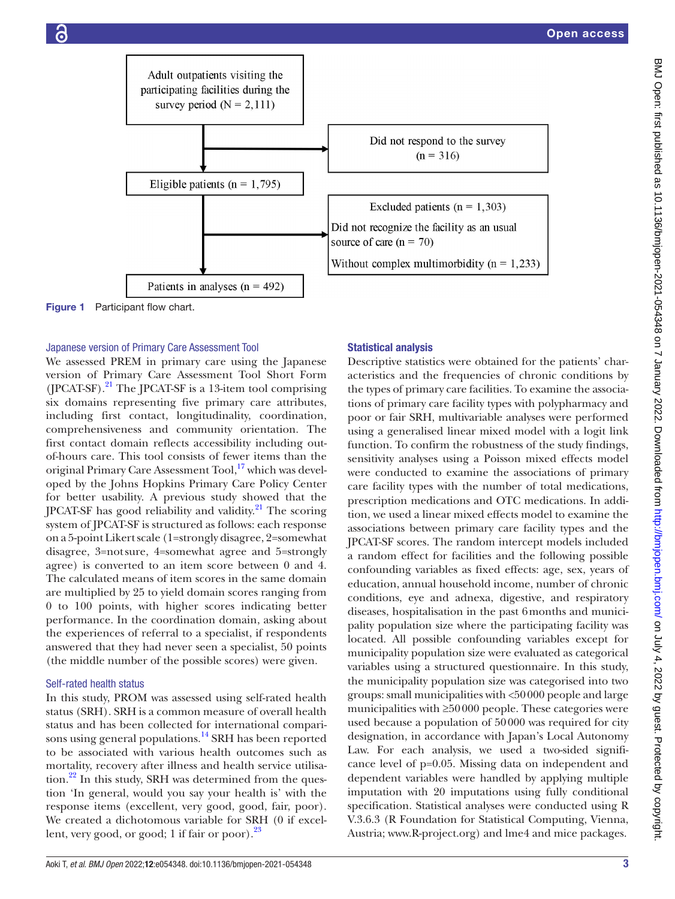

#### Japanese version of Primary Care Assessment Tool

We assessed PREM in primary care using the Japanese version of Primary Care Assessment Tool Short Form  $($ [PCAT-SF) $.$ <sup>21</sup> The [PCAT-SF is a 13-item tool comprising] six domains representing five primary care attributes, including first contact, longitudinality, coordination, comprehensiveness and community orientation. The first contact domain reflects accessibility including outof-hours care. This tool consists of fewer items than the original Primary Care Assessment Tool,<sup>17</sup> which was developed by the Johns Hopkins Primary Care Policy Center for better usability. A previous study showed that the JPCAT-SF has good reliability and validity. [21](#page-7-13) The scoring system of JPCAT-SF is structured as follows: each response on a 5-point Likert scale (1=strongly disagree, 2=somewhat disagree, 3=notsure, 4=somewhat agree and 5=strongly agree) is converted to an item score between 0 and 4. The calculated means of item scores in the same domain are multiplied by 25 to yield domain scores ranging from 0 to 100 points, with higher scores indicating better performance. In the coordination domain, asking about the experiences of referral to a specialist, if respondents answered that they had never seen a specialist, 50 points (the middle number of the possible scores) were given.

#### Self-rated health status

In this study, PROM was assessed using self-rated health status (SRH). SRH is a common measure of overall health status and has been collected for international comparisons using general populations.<sup>14</sup> SRH has been reported to be associated with various health outcomes such as mortality, recovery after illness and health service utilisa- $\frac{22}{10}$  In this study, SRH was determined from the question 'In general, would you say your health is' with the response items (excellent, very good, good, fair, poor). We created a dichotomous variable for SRH (0 if excellent, very good, or good; 1 if fair or poor). $^{23}$  $^{23}$  $^{23}$ 

#### <span id="page-2-0"></span>Statistical analysis

Descriptive statistics were obtained for the patients' characteristics and the frequencies of chronic conditions by the types of primary care facilities. To examine the associations of primary care facility types with polypharmacy and poor or fair SRH, multivariable analyses were performed using a generalised linear mixed model with a logit link function. To confirm the robustness of the study findings, sensitivity analyses using a Poisson mixed effects model were conducted to examine the associations of primary care facility types with the number of total medications, prescription medications and OTC medications. In addition, we used a linear mixed effects model to examine the associations between primary care facility types and the JPCAT-SF scores. The random intercept models included a random effect for facilities and the following possible confounding variables as fixed effects: age, sex, years of education, annual household income, number of chronic conditions, eye and adnexa, digestive, and respiratory diseases, hospitalisation in the past 6months and municipality population size where the participating facility was located. All possible confounding variables except for municipality population size were evaluated as categorical variables using a structured questionnaire. In this study, the municipality population size was categorised into two groups: small municipalities with <50000 people and large municipalities with ≥50000 people. These categories were used because a population of 50000 was required for city designation, in accordance with Japan's Local Autonomy Law. For each analysis, we used a two-sided significance level of p=0.05. Missing data on independent and dependent variables were handled by applying multiple imputation with 20 imputations using fully conditional specification. Statistical analyses were conducted using R V.3.6.3 (R Foundation for Statistical Computing, Vienna, Austria; [www.R-project.org\)](www.R-project.org) and lme4 and mice packages.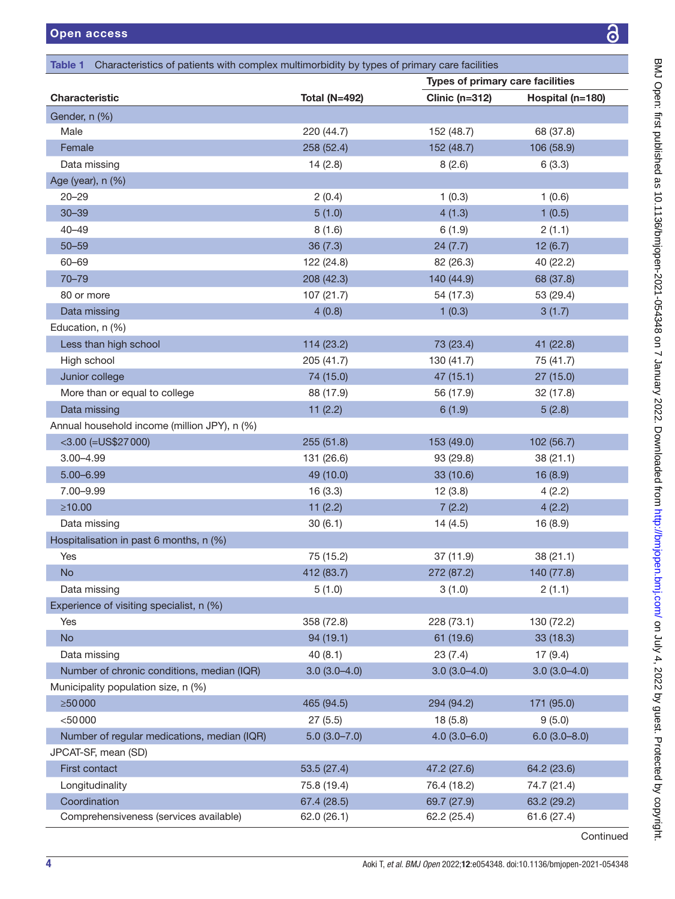<span id="page-3-0"></span>

| <b>Open access</b>                                                                                            |                      |                                         | င်               |  |
|---------------------------------------------------------------------------------------------------------------|----------------------|-----------------------------------------|------------------|--|
|                                                                                                               |                      |                                         |                  |  |
| Characteristics of patients with complex multimorbidity by types of primary care facilities<br><b>Table 1</b> |                      |                                         |                  |  |
|                                                                                                               |                      | <b>Types of primary care facilities</b> |                  |  |
| <b>Characteristic</b>                                                                                         | <b>Total (N=492)</b> | Clinic $(n=312)$                        | Hospital (n=180) |  |
| Gender, n (%)                                                                                                 |                      |                                         |                  |  |
| Male                                                                                                          | 220 (44.7)           | 152 (48.7)                              | 68 (37.8)        |  |
| Female                                                                                                        | 258 (52.4)           | 152 (48.7)                              | 106 (58.9)       |  |
| Data missing                                                                                                  | 14(2.8)              | 8(2.6)                                  | 6(3.3)           |  |
| Age (year), $n$ (%)                                                                                           |                      |                                         |                  |  |
| $20 - 29$                                                                                                     | 2(0.4)               | 1(0.3)                                  | 1(0.6)           |  |
| $30 - 39$                                                                                                     | 5(1.0)               | 4(1.3)                                  | 1(0.5)           |  |

| s<br>(n=180)         |  |
|----------------------|--|
|                      |  |
| i)                   |  |
| 1)                   |  |
|                      |  |
|                      |  |
|                      |  |
|                      |  |
|                      |  |
|                      |  |
|                      |  |
| )<br>(i              |  |
|                      |  |
| $\cdot)$             |  |
|                      |  |
|                      |  |
| )<br>)<br>)          |  |
|                      |  |
|                      |  |
| $\big)$              |  |
|                      |  |
|                      |  |
| $\frac{1}{\sqrt{2}}$ |  |
|                      |  |
|                      |  |
|                      |  |
|                      |  |
|                      |  |
|                      |  |
| )<br>;)              |  |
|                      |  |
|                      |  |
|                      |  |
| )<br>;)              |  |
|                      |  |
|                      |  |
| (4.0)                |  |
|                      |  |
| $\mathcal{I}$        |  |
|                      |  |

| Data missing                                 | 14(2.8)          | 8(2.6)           | 6(3.3)           |
|----------------------------------------------|------------------|------------------|------------------|
| Age (year), n (%)                            |                  |                  |                  |
| $20 - 29$                                    | 2(0.4)           | 1(0.3)           | 1(0.6)           |
| $30 - 39$                                    | 5(1.0)           | 4(1.3)           | 1(0.5)           |
| $40 - 49$                                    | 8(1.6)           | 6(1.9)           | 2(1.1)           |
| $50 - 59$                                    | 36(7.3)          | 24(7.7)          | 12(6.7)          |
| 60-69                                        | 122 (24.8)       | 82 (26.3)        | 40 (22.2)        |
| $70 - 79$                                    | 208 (42.3)       | 140 (44.9)       | 68 (37.8)        |
| 80 or more                                   | 107 (21.7)       | 54 (17.3)        | 53 (29.4)        |
| Data missing                                 | 4(0.8)           | 1(0.3)           | 3(1.7)           |
| Education, n (%)                             |                  |                  |                  |
| Less than high school                        | 114 (23.2)       | 73 (23.4)        | 41 (22.8)        |
| High school                                  | 205 (41.7)       | 130 (41.7)       | 75 (41.7)        |
| Junior college                               | 74 (15.0)        | 47 (15.1)        | 27(15.0)         |
| More than or equal to college                | 88 (17.9)        | 56 (17.9)        | 32 (17.8)        |
| Data missing                                 | 11(2.2)          | 6(1.9)           | 5(2.8)           |
| Annual household income (million JPY), n (%) |                  |                  |                  |
| $<$ 3.00 (=US\$27000)                        | 255 (51.8)       | 153 (49.0)       | 102 (56.7)       |
| $3.00 - 4.99$                                | 131 (26.6)       | 93 (29.8)        | 38 (21.1)        |
| $5.00 - 6.99$                                | 49 (10.0)        | 33 (10.6)        | 16 (8.9)         |
| 7.00-9.99                                    | 16(3.3)          | 12(3.8)          | 4(2.2)           |
| ≥10.00                                       | 11(2.2)          | 7(2.2)           | 4(2.2)           |
| Data missing                                 | 30(6.1)          | 14(4.5)          | 16 (8.9)         |
| Hospitalisation in past 6 months, n (%)      |                  |                  |                  |
| Yes                                          | 75 (15.2)        | 37 (11.9)        | 38 (21.1)        |
| <b>No</b>                                    | 412 (83.7)       | 272 (87.2)       | 140 (77.8)       |
| Data missing                                 | 5(1.0)           | 3(1.0)           | 2(1.1)           |
| Experience of visiting specialist, n (%)     |                  |                  |                  |
| Yes                                          | 358 (72.8)       | 228 (73.1)       | 130 (72.2)       |
| <b>No</b>                                    | 94 (19.1)        | 61 (19.6)        | 33 (18.3)        |
| Data missing                                 | 40(8.1)          | 23(7.4)          | 17 (9.4)         |
| Number of chronic conditions, median (IQR)   | $3.0(3.0-4.0)$   | $3.0(3.0-4.0)$   | $3.0(3.0-4.0)$   |
| Municipality population size, n (%)          |                  |                  |                  |
| $\geq 50000$                                 | 465 (94.5)       | 294 (94.2)       | 171 (95.0)       |
| $<$ 50000                                    | 27(5.5)          | 18(5.8)          | 9(5.0)           |
| Number of regular medications, median (IQR)  | $5.0(3.0 - 7.0)$ | $4.0(3.0 - 6.0)$ | $6.0(3.0 - 8.0)$ |
| JPCAT-SF, mean (SD)                          |                  |                  |                  |
| First contact                                | 53.5 (27.4)      | 47.2 (27.6)      | 64.2 (23.6)      |
| Longitudinality                              | 75.8 (19.4)      | 76.4 (18.2)      | 74.7 (21.4)      |
| Coordination                                 | 67.4 (28.5)      | 69.7 (27.9)      | 63.2 (29.2)      |
| Comprehensiveness (services available)       | 62.0 (26.1)      | 62.2 (25.4)      | 61.6 (27.4)      |

Continued

I.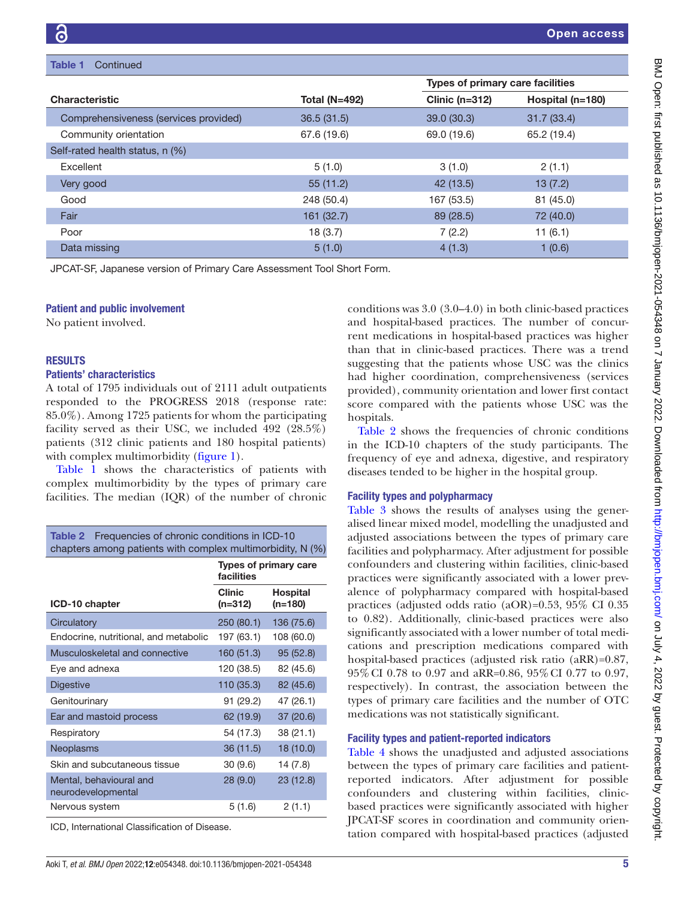| Continued<br>Table 1                  |                      |                  |                                         |  |  |
|---------------------------------------|----------------------|------------------|-----------------------------------------|--|--|
|                                       |                      |                  | <b>Types of primary care facilities</b> |  |  |
| <b>Characteristic</b>                 | <b>Total (N=492)</b> | Clinic $(n=312)$ | Hospital (n=180)                        |  |  |
| Comprehensiveness (services provided) | 36.5(31.5)           | 39.0(30.3)       | 31.7(33.4)                              |  |  |
| Community orientation                 | 67.6 (19.6)          | 69.0 (19.6)      | 65.2 (19.4)                             |  |  |
| Self-rated health status, n (%)       |                      |                  |                                         |  |  |
| Excellent                             | 5(1.0)               | 3(1.0)           | 2(1.1)                                  |  |  |
| Very good                             | 55(11.2)             | 42 (13.5)        | 13(7.2)                                 |  |  |
| Good                                  | 248 (50.4)           | 167 (53.5)       | 81 (45.0)                               |  |  |
| Fair                                  | 161 (32.7)           | 89 (28.5)        | 72 (40.0)                               |  |  |
| Poor                                  | 18 (3.7)             | 7(2.2)           | 11(6.1)                                 |  |  |
| Data missing                          | 5(1.0)               | 4(1.3)           | 1(0.6)                                  |  |  |

JPCAT-SF, Japanese version of Primary Care Assessment Tool Short Form.

#### Patient and public involvement

No patient involved.

#### **RESULTS**

#### Patients' characteristics

A total of 1795 individuals out of 2111 adult outpatients responded to the PROGRESS 2018 (response rate: 85.0%). Among 1725 patients for whom the participating facility served as their USC, we included 492 (28.5%) patients (312 clinic patients and 180 hospital patients) with complex multimorbidity [\(figure](#page-2-0) 1).

[Table](#page-3-0) 1 shows the characteristics of patients with complex multimorbidity by the types of primary care facilities. The median (IQR) of the number of chronic

<span id="page-4-0"></span>

| <b>Table 2</b> Frequencies of chronic conditions in ICD-10 |
|------------------------------------------------------------|
| chapters among patients with complex multimorbidity, N (%) |

|                                               | <b>Types of primary care</b><br>facilities |                              |  |  |
|-----------------------------------------------|--------------------------------------------|------------------------------|--|--|
| ICD-10 chapter                                | Clinic<br>$(n=312)$                        | <b>Hospital</b><br>$(n=180)$ |  |  |
| Circulatory                                   | 250 (80.1)                                 | 136 (75.6)                   |  |  |
| Endocrine, nutritional, and metabolic         | 197 (63.1)                                 | 108 (60.0)                   |  |  |
| Musculoskeletal and connective                | 160 (51.3)                                 | 95(52.8)                     |  |  |
| Eye and adnexa                                | 120 (38.5)                                 | 82 (45.6)                    |  |  |
| <b>Digestive</b>                              | 110 (35.3)                                 | 82 (45.6)                    |  |  |
| Genitourinary                                 | 91 (29.2)                                  | 47 (26.1)                    |  |  |
| Ear and mastoid process                       | 62 (19.9)                                  | 37 (20.6)                    |  |  |
| Respiratory                                   | 54 (17.3)                                  | 38 (21.1)                    |  |  |
| Neoplasms                                     | 36(11.5)                                   | 18 (10.0)                    |  |  |
| Skin and subcutaneous tissue                  | 30(9.6)                                    | 14(7.8)                      |  |  |
| Mental, behavioural and<br>neurodevelopmental | 28(9.0)                                    | 23(12.8)                     |  |  |
| Nervous system                                | 5(1.6)                                     | 2(1.1)                       |  |  |
| ICD, International Classification of Disease. |                                            |                              |  |  |

conditions was 3.0 (3.0–4.0) in both clinic-based practices and hospital-based practices. The number of concurrent medications in hospital-based practices was higher than that in clinic-based practices. There was a trend suggesting that the patients whose USC was the clinics had higher coordination, comprehensiveness (services provided), community orientation and lower first contact score compared with the patients whose USC was the hospitals.

[Table](#page-4-0) 2 shows the frequencies of chronic conditions in the ICD-10 chapters of the study participants. The frequency of eye and adnexa, digestive, and respiratory diseases tended to be higher in the hospital group.

#### Facility types and polypharmacy

[Table](#page-5-0) 3 shows the results of analyses using the generalised linear mixed model, modelling the unadjusted and adjusted associations between the types of primary care facilities and polypharmacy. After adjustment for possible confounders and clustering within facilities, clinic-based practices were significantly associated with a lower prevalence of polypharmacy compared with hospital-based practices (adjusted odds ratio (aOR)=0.53, 95% CI 0.35 to 0.82). Additionally, clinic-based practices were also significantly associated with a lower number of total medications and prescription medications compared with hospital-based practices (adjusted risk ratio (aRR)=0.87, 95%CI 0.78 to 0.97 and aRR=0.86, 95%CI 0.77 to 0.97, respectively). In contrast, the association between the types of primary care facilities and the number of OTC medications was not statistically significant.

#### Facility types and patient-reported indicators

[Table](#page-5-1) 4 shows the unadjusted and adjusted associations between the types of primary care facilities and patientreported indicators. After adjustment for possible confounders and clustering within facilities, clinicbased practices were significantly associated with higher JPCAT-SF scores in coordination and community orientation compared with hospital-based practices (adjusted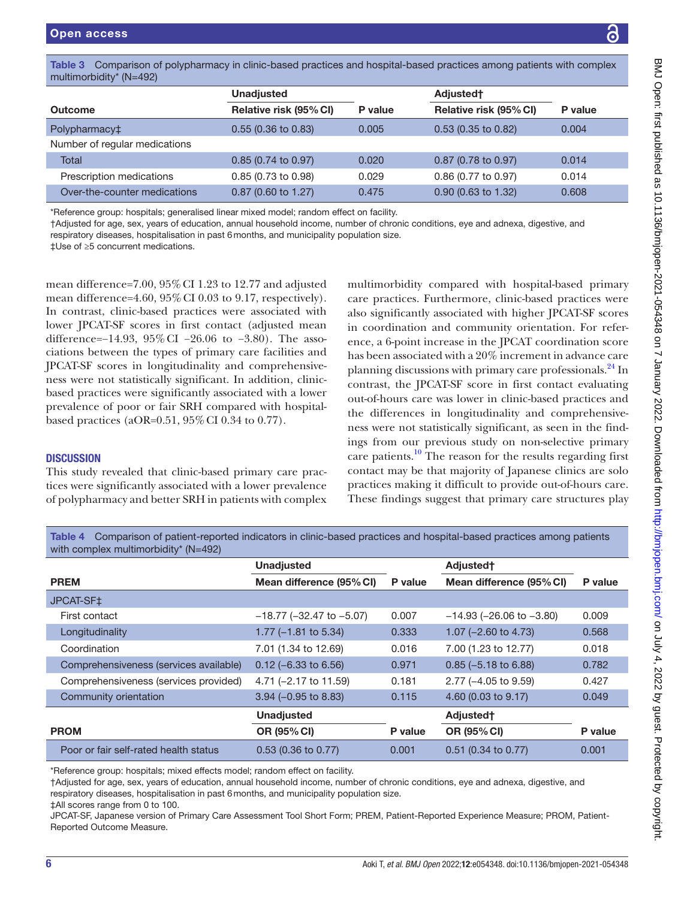<span id="page-5-0"></span>

|                         |  | Table 3 Comparison of polypharmacy in clinic-based practices and hospital-based practices among patients with complex |  |
|-------------------------|--|-----------------------------------------------------------------------------------------------------------------------|--|
| multimorbidity* (N=492) |  |                                                                                                                       |  |

|                               | <b>Unadjusted</b><br>Adjusted <sup>+</sup> |         |                        |         |
|-------------------------------|--------------------------------------------|---------|------------------------|---------|
| Outcome                       | Relative risk (95% CI)                     | P value | Relative risk (95% CI) | P value |
| Polypharmacy <sup>+</sup>     | $0.55$ (0.36 to 0.83)                      | 0.005   | $0.53$ (0.35 to 0.82)  | 0.004   |
| Number of regular medications |                                            |         |                        |         |
| Total                         | $0.85$ (0.74 to 0.97)                      | 0.020   | 0.87 (0.78 to 0.97)    | 0.014   |
| Prescription medications      | 0.85 (0.73 to 0.98)                        | 0.029   | 0.86 (0.77 to 0.97)    | 0.014   |
| Over-the-counter medications  | $0.87$ (0.60 to 1.27)                      | 0.475   | $0.90$ (0.63 to 1.32)  | 0.608   |

\*Reference group: hospitals; generalised linear mixed model; random effect on facility.

†Adjusted for age, sex, years of education, annual household income, number of chronic conditions, eye and adnexa, digestive, and respiratory diseases, hospitalisation in past 6months, and municipality population size.

‡Use of ≥5 concurrent medications.

mean difference=7.00, 95%CI 1.23 to 12.77 and adjusted mean difference=4.60, 95%CI 0.03 to 9.17, respectively). In contrast, clinic-based practices were associated with lower JPCAT-SF scores in first contact (adjusted mean difference=−14.93, 95%CI −26.06 to −3.80). The associations between the types of primary care facilities and JPCAT-SF scores in longitudinality and comprehensiveness were not statistically significant. In addition, clinicbased practices were significantly associated with a lower prevalence of poor or fair SRH compared with hospitalbased practices (aOR=0.51, 95%CI 0.34 to 0.77).

**DISCUSSION** 

This study revealed that clinic-based primary care practices were significantly associated with a lower prevalence of polypharmacy and better SRH in patients with complex

multimorbidity compared with hospital-based primary care practices. Furthermore, clinic-based practices were also significantly associated with higher JPCAT-SF scores in coordination and community orientation. For reference, a 6-point increase in the JPCAT coordination score has been associated with a 20% increment in advance care planning discussions with primary care professionals.<sup>24</sup> In contrast, the JPCAT-SF score in first contact evaluating out-of-hours care was lower in clinic-based practices and the differences in longitudinality and comprehensiveness were not statistically significant, as seen in the findings from our previous study on non-selective primary care patients.<sup>[10](#page-7-5)</sup> The reason for the results regarding first contact may be that majority of Japanese clinics are solo practices making it difficult to provide out-of-hours care. These findings suggest that primary care structures play

<span id="page-5-1"></span>Table 4 Comparison of patient-reported indicators in clinic-based practices and hospital-based practices among patients with complex multimorbidity\* (N=492)

|                                        | <b>Unadjusted</b>                |         | Adjusted <sup>+</sup>            |         |
|----------------------------------------|----------------------------------|---------|----------------------------------|---------|
| <b>PREM</b>                            | Mean difference (95% CI)         | P value | Mean difference (95% CI)         | P value |
| JPCAT-SF‡                              |                                  |         |                                  |         |
| First contact                          | $-18.77$ ( $-32.47$ to $-5.07$ ) | 0.007   | $-14.93$ ( $-26.06$ to $-3.80$ ) | 0.009   |
| Longitudinality                        | 1.77 $(-1.81$ to 5.34)           | 0.333   | 1.07 (-2.60 to 4.73)             | 0.568   |
| Coordination                           | 7.01 (1.34 to 12.69)             | 0.016   | 7.00 (1.23 to 12.77)             | 0.018   |
| Comprehensiveness (services available) | $0.12$ (-6.33 to 6.56)           | 0.971   | $0.85$ (-5.18 to 6.88)           | 0.782   |
| Comprehensiveness (services provided)  | 4.71 (-2.17 to 11.59)            | 0.181   | $2.77$ (-4.05 to 9.59)           | 0.427   |
| Community orientation                  | $3.94 (-0.95 \text{ to } 8.83)$  | 0.115   | 4.60 (0.03 to 9.17)              | 0.049   |
|                                        | <b>Unadjusted</b>                |         | Adjusted <sup>+</sup>            |         |
| <b>PROM</b>                            | <b>OR (95% CI)</b>               | P value | <b>OR (95% CI)</b>               | P value |
| Poor or fair self-rated health status  | $0.53$ (0.36 to 0.77)            | 0.001   | $0.51$ (0.34 to 0.77)            | 0.001   |

\*Reference group: hospitals; mixed effects model; random effect on facility.

†Adjusted for age, sex, years of education, annual household income, number of chronic conditions, eye and adnexa, digestive, and respiratory diseases, hospitalisation in past 6months, and municipality population size.

JPCAT-SF, Japanese version of Primary Care Assessment Tool Short Form; PREM, Patient-Reported Experience Measure; PROM, Patient-Reported Outcome Measure.

<sup>‡</sup>All scores range from 0 to 100.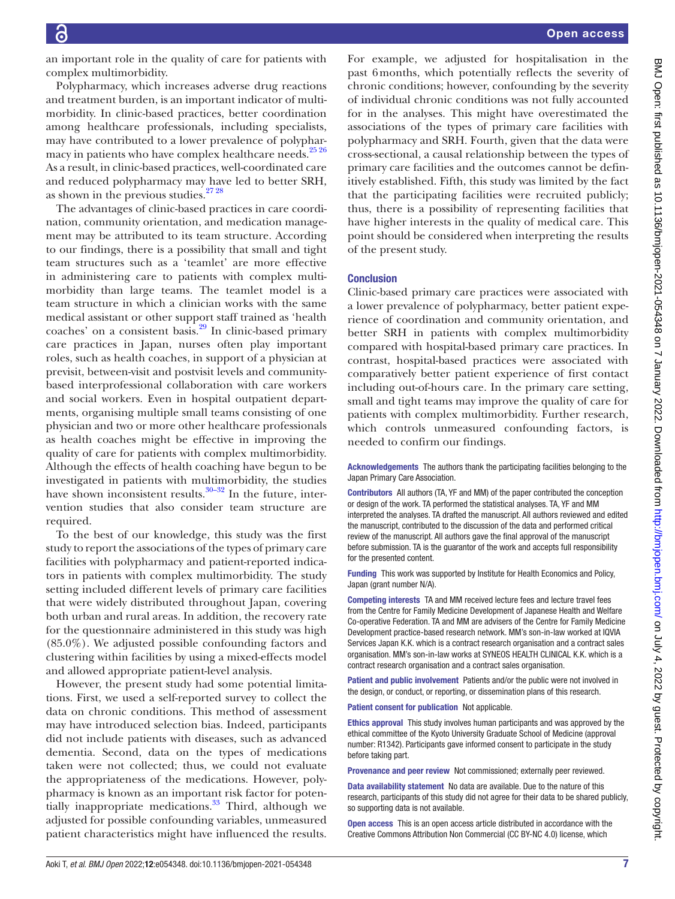an important role in the quality of care for patients with complex multimorbidity.

Polypharmacy, which increases adverse drug reactions and treatment burden, is an important indicator of multimorbidity. In clinic-based practices, better coordination among healthcare professionals, including specialists, may have contributed to a lower prevalence of polyphar-macy in patients who have complex healthcare needs.<sup>[25 26](#page-7-17)</sup> As a result, in clinic-based practices, well-coordinated care and reduced polypharmacy may have led to better SRH, as shown in the previous studies. $27\frac{28}{12}$ 

The advantages of clinic-based practices in care coordination, community orientation, and medication management may be attributed to its team structure. According to our findings, there is a possibility that small and tight team structures such as a 'teamlet' are more effective in administering care to patients with complex multimorbidity than large teams. The teamlet model is a team structure in which a clinician works with the same medical assistant or other support staff trained as 'health coaches' on a consistent basis.[29](#page-7-19) In clinic-based primary care practices in Japan, nurses often play important roles, such as health coaches, in support of a physician at previsit, between-visit and postvisit levels and communitybased interprofessional collaboration with care workers and social workers. Even in hospital outpatient departments, organising multiple small teams consisting of one physician and two or more other healthcare professionals as health coaches might be effective in improving the quality of care for patients with complex multimorbidity. Although the effects of health coaching have begun to be investigated in patients with multimorbidity, the studies have shown inconsistent results. $30-32$  In the future, intervention studies that also consider team structure are required.

To the best of our knowledge, this study was the first study to report the associations of the types of primary care facilities with polypharmacy and patient-reported indicators in patients with complex multimorbidity. The study setting included different levels of primary care facilities that were widely distributed throughout Japan, covering both urban and rural areas. In addition, the recovery rate for the questionnaire administered in this study was high (85.0%). We adjusted possible confounding factors and clustering within facilities by using a mixed-effects model and allowed appropriate patient-level analysis.

However, the present study had some potential limitations. First, we used a self-reported survey to collect the data on chronic conditions. This method of assessment may have introduced selection bias. Indeed, participants did not include patients with diseases, such as advanced dementia. Second, data on the types of medications taken were not collected; thus, we could not evaluate the appropriateness of the medications. However, polypharmacy is known as an important risk factor for poten-tially inappropriate medications.<sup>[33](#page-7-21)</sup> Third, although we adjusted for possible confounding variables, unmeasured patient characteristics might have influenced the results.

For example, we adjusted for hospitalisation in the past 6months, which potentially reflects the severity of chronic conditions; however, confounding by the severity of individual chronic conditions was not fully accounted for in the analyses. This might have overestimated the associations of the types of primary care facilities with polypharmacy and SRH. Fourth, given that the data were cross-sectional, a causal relationship between the types of primary care facilities and the outcomes cannot be definitively established. Fifth, this study was limited by the fact that the participating facilities were recruited publicly; thus, there is a possibility of representing facilities that have higher interests in the quality of medical care. This point should be considered when interpreting the results of the present study.

#### **Conclusion**

Clinic-based primary care practices were associated with a lower prevalence of polypharmacy, better patient experience of coordination and community orientation, and better SRH in patients with complex multimorbidity compared with hospital-based primary care practices. In contrast, hospital-based practices were associated with comparatively better patient experience of first contact including out-of-hours care. In the primary care setting, small and tight teams may improve the quality of care for patients with complex multimorbidity. Further research, which controls unmeasured confounding factors, is needed to confirm our findings.

Acknowledgements The authors thank the participating facilities belonging to the Japan Primary Care Association.

Contributors All authors (TA, YF and MM) of the paper contributed the conception or design of the work. TA performed the statistical analyses. TA, YF and MM interpreted the analyses. TA drafted the manuscript. All authors reviewed and edited the manuscript, contributed to the discussion of the data and performed critical review of the manuscript. All authors gave the final approval of the manuscript before submission. TA is the guarantor of the work and accepts full responsibility for the presented content.

Funding This work was supported by Institute for Health Economics and Policy, Japan (grant number N/A).

Competing interests TA and MM received lecture fees and lecture travel fees from the Centre for Family Medicine Development of Japanese Health and Welfare Co-operative Federation. TA and MM are advisers of the Centre for Family Medicine Development practice-based research network. MM's son-in-law worked at IQVIA Services Japan K.K. which is a contract research organisation and a contract sales organisation. MM's son-in-law works at SYNEOS HEALTH CLINICAL K.K. which is a contract research organisation and a contract sales organisation.

Patient and public involvement Patients and/or the public were not involved in the design, or conduct, or reporting, or dissemination plans of this research.

Patient consent for publication Not applicable.

Ethics approval This study involves human participants and was approved by the ethical committee of the Kyoto University Graduate School of Medicine (approval number: R1342). Participants gave informed consent to participate in the study before taking part.

Provenance and peer review Not commissioned; externally peer reviewed.

Data availability statement No data are available. Due to the nature of this research, participants of this study did not agree for their data to be shared publicly, so supporting data is not available.

Open access This is an open access article distributed in accordance with the Creative Commons Attribution Non Commercial (CC BY-NC 4.0) license, which